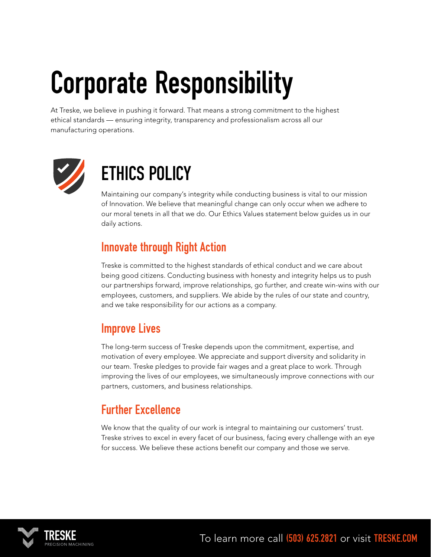# Corporate Responsibility

At Treske, we believe in pushing it forward. That means a strong commitment to the highest ethical standards — ensuring integrity, transparency and professionalism across all our manufacturing operations.



# ETHICS POLICY

Maintaining our company's integrity while conducting business is vital to our mission of Innovation. We believe that meaningful change can only occur when we adhere to our moral tenets in all that we do. Our Ethics Values statement below guides us in our daily actions.

#### Innovate through Right Action

Treske is committed to the highest standards of ethical conduct and we care about being good citizens. Conducting business with honesty and integrity helps us to push our partnerships forward, improve relationships, go further, and create win-wins with our employees, customers, and suppliers. We abide by the rules of our state and country, and we take responsibility for our actions as a company.

#### Improve Lives

The long-term success of Treske depends upon the commitment, expertise, and motivation of every employee. We appreciate and support diversity and solidarity in our team. Treske pledges to provide fair wages and a great place to work. Through improving the lives of our employees, we simultaneously improve connections with our partners, customers, and business relationships.

#### Further Excellence

We know that the quality of our work is integral to maintaining our customers' trust. Treske strives to excel in every facet of our business, facing every challenge with an eye for success. We believe these actions benefit our company and those we serve.

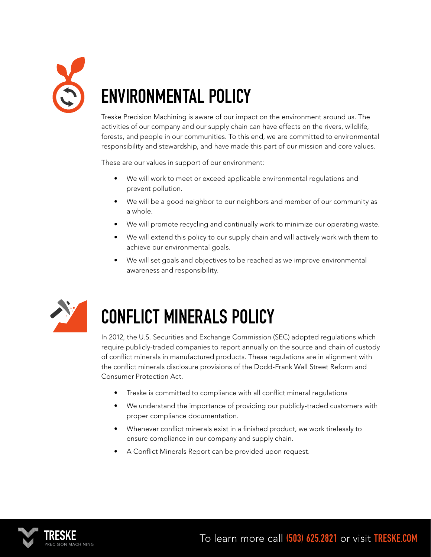

## ENVIRONMENTAL POLICY

Treske Precision Machining is aware of our impact on the environment around us. The activities of our company and our supply chain can have effects on the rivers, wildlife, forests, and people in our communities. To this end, we are committed to environmental responsibility and stewardship, and have made this part of our mission and core values.

These are our values in support of our environment:

- We will work to meet or exceed applicable environmental regulations and prevent pollution.
- We will be a good neighbor to our neighbors and member of our community as a whole.
- We will promote recycling and continually work to minimize our operating waste.
- We will extend this policy to our supply chain and will actively work with them to achieve our environmental goals.
- We will set goals and objectives to be reached as we improve environmental awareness and responsibility.



### CONFLICT MINERALS POLICY

In 2012, the U.S. Securities and Exchange Commission (SEC) adopted regulations which require publicly-traded companies to report annually on the source and chain of custody of conflict minerals in manufactured products. These regulations are in alignment with the conflict minerals disclosure provisions of the Dodd-Frank Wall Street Reform and Consumer Protection Act.

- Treske is committed to compliance with all conflict mineral regulations
- We understand the importance of providing our publicly-traded customers with proper compliance documentation.
- Whenever conflict minerals exist in a finished product, we work tirelessly to ensure compliance in our company and supply chain.
- A Conflict Minerals Report can be provided upon request.